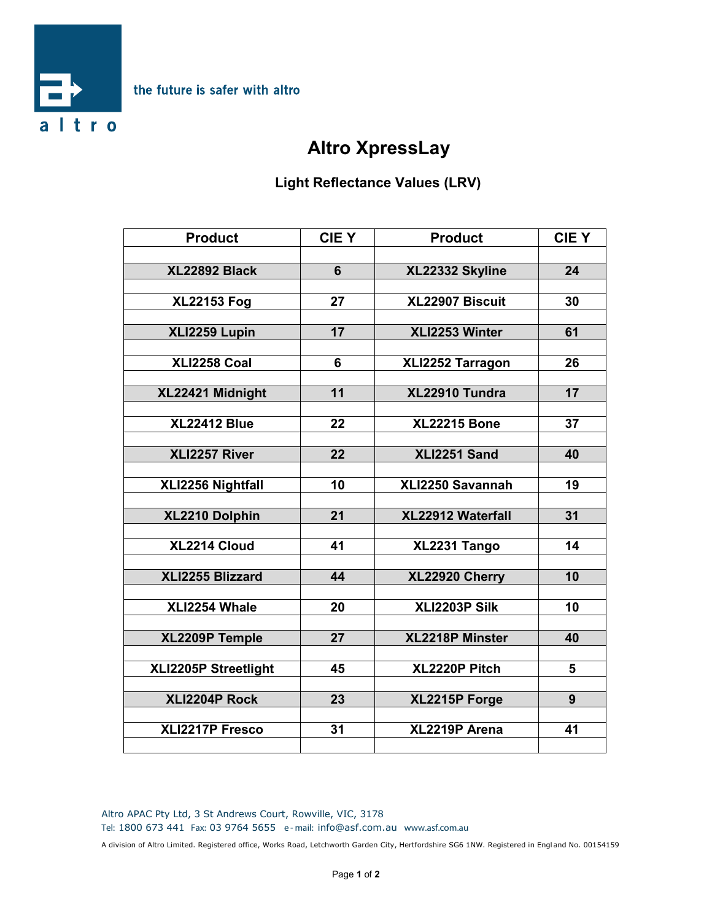

## **Altro XpressLay**

## **Light Reflectance Values (LRV)**

| <b>Product</b>       | <b>CIEY</b>     | <b>Product</b>      | <b>CIEY</b>     |
|----------------------|-----------------|---------------------|-----------------|
| XL22892 Black        | $\overline{6}$  | XL22332 Skyline     | 24              |
|                      |                 |                     |                 |
| <b>XL22153 Fog</b>   | 27              | XL22907 Biscuit     | 30              |
| XLI2259 Lupin        | $\overline{17}$ | XLI2253 Winter      | 61              |
|                      |                 |                     |                 |
| <b>XLI2258 Coal</b>  | 6               | XLI2252 Tarragon    | 26              |
| XL22421 Midnight     | 11              | XL22910 Tundra      | 17              |
| <b>XL22412 Blue</b>  | 22              | <b>XL22215 Bone</b> | 37              |
|                      |                 |                     |                 |
| XLI2257 River        | 22              | XLI2251 Sand        | 40              |
| XLI2256 Nightfall    | 10              | XLI2250 Savannah    | 19              |
| XL2210 Dolphin       | 21              | XL22912 Waterfall   | 31              |
|                      |                 |                     |                 |
| XL2214 Cloud         | 41              | XL2231 Tango        | 14              |
| XLI2255 Blizzard     | 44              | XL22920 Cherry      | 10              |
| XLI2254 Whale        | 20              | XLI2203P Silk       | $\overline{10}$ |
|                      |                 |                     |                 |
| XL2209P Temple       | 27              | XL2218P Minster     | 40              |
| XLI2205P Streetlight | 45              | XL2220P Pitch       | 5               |
| XLI2204P Rock        | 23              | XL2215P Forge       | 9               |
|                      |                 |                     |                 |
| XLI2217P Fresco      | 31              | XL2219P Arena       | 41              |

Altro APAC Pty Ltd, 3 St Andrews Court, Rowville, VIC, 3178 **Tel:** 1800 673 441 **Fax:** 03 9764 5655 **e - mail:** info@asf.com.au **www.asf.com.au**

A division of Altro Limited. Registered office, Works Road, Letchworth Garden City, Hertfordshire SG6 1NW. Registered in Engl and No. 00154159